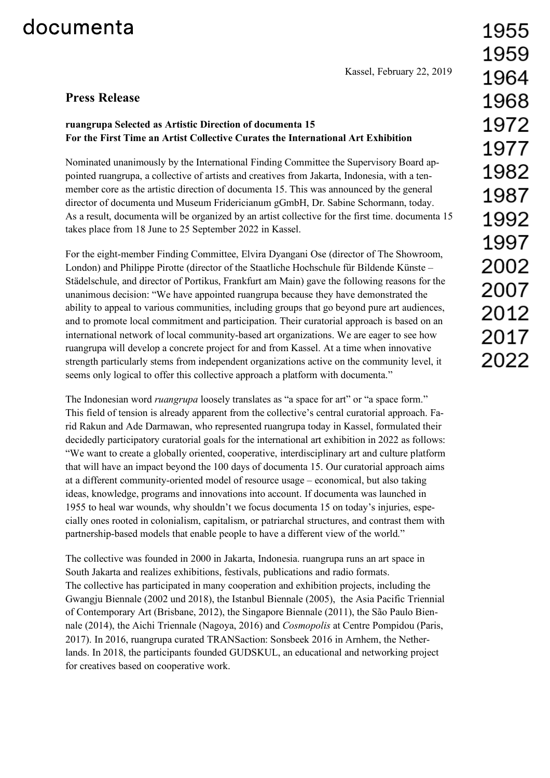## documenta

Kassel, February 22, 2019

## **Press Release**

## **ruangrupa Selected as Artistic Direction of documenta 15 For the First Time an Artist Collective Curates the International Art Exhibition**

Nominated unanimously by the International Finding Committee the Supervisory Board appointed ruangrupa, a collective of artists and creatives from Jakarta, Indonesia, with a tenmember core as the artistic direction of documenta 15. This was announced by the general director of documenta und Museum Fridericianum gGmbH, Dr. Sabine Schormann, today. As a result, documenta will be organized by an artist collective for the first time. documenta 15 takes place from 18 June to 25 September 2022 in Kassel.

For the eight-member Finding Committee, Elvira Dyangani Ose (director of The Showroom, London) and Philippe Pirotte (director of the Staatliche Hochschule für Bildende Künste – Städelschule, and director of Portikus, Frankfurt am Main) gave the following reasons for the unanimous decision: "We have appointed ruangrupa because they have demonstrated the ability to appeal to various communities, including groups that go beyond pure art audiences, and to promote local commitment and participation. Their curatorial approach is based on an international network of local community-based art organizations. We are eager to see how ruangrupa will develop a concrete project for and from Kassel. At a time when innovative strength particularly stems from independent organizations active on the community level, it seems only logical to offer this collective approach a platform with documenta."

The Indonesian word *ruangrupa* loosely translates as "a space for art" or "a space form." This field of tension is already apparent from the collective's central curatorial approach. Farid Rakun and Ade Darmawan, who represented ruangrupa today in Kassel, formulated their decidedly participatory curatorial goals for the international art exhibition in 2022 as follows: "We want to create a globally oriented, cooperative, interdisciplinary art and culture platform that will have an impact beyond the 100 days of documenta 15. Our curatorial approach aims at a different community-oriented model of resource usage – economical, but also taking ideas, knowledge, programs and innovations into account. If documenta was launched in 1955 to heal war wounds, why shouldn't we focus documenta 15 on today's injuries, especially ones rooted in colonialism, capitalism, or patriarchal structures, and contrast them with partnership-based models that enable people to have a different view of the world."

The collective was founded in 2000 in Jakarta, Indonesia. ruangrupa runs an art space in South Jakarta and realizes exhibitions, festivals, publications and radio formats. The collective has participated in many cooperation and exhibition projects, including the Gwangju Biennale (2002 und 2018), the Istanbul Biennale (2005), the Asia Pacific Triennial of Contemporary Art (Brisbane, 2012), the Singapore Biennale (2011), the São Paulo Biennale (2014), the Aichi Triennale (Nagoya, 2016) and *Cosmopolis* at Centre Pompidou (Paris, 2017). In 2016, ruangrupa curated TRANSaction: Sonsbeek 2016 in Arnhem, the Netherlands. In 2018, the participants founded GUDSKUL, an educational and networking project for creatives based on cooperative work.